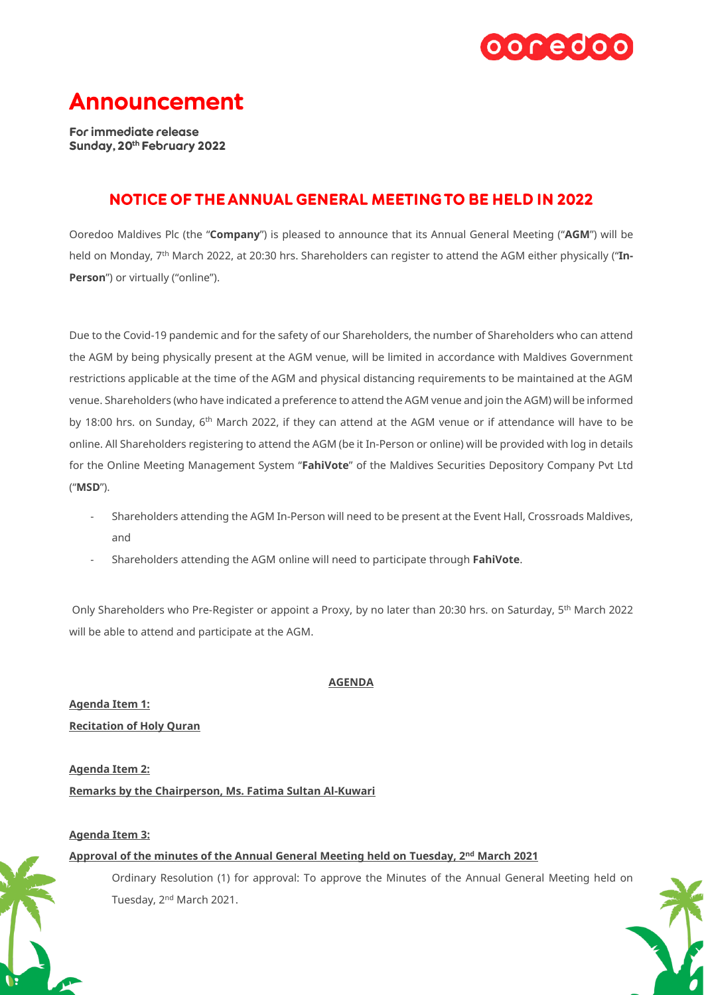

# **Announcement**

For immediate release Sunday, 20th February 2022

# **NOTICE OF THE ANNUAL GENERAL MEETING TO BE HELD IN 2022**

Ooredoo Maldives Plc (the "**Company**") is pleased to announce that its Annual General Meeting ("**AGM**") will be held on Monday, 7th March 2022, at 20:30 hrs. Shareholders can register to attend the AGM either physically ("**In-Person**") or virtually ("online").

Due to the Covid-19 pandemic and for the safety of our Shareholders, the number of Shareholders who can attend the AGM by being physically present at the AGM venue, will be limited in accordance with Maldives Government restrictions applicable at the time of the AGM and physical distancing requirements to be maintained at the AGM venue. Shareholders (who have indicated a preference to attend the AGM venue and join the AGM) will be informed by 18:00 hrs. on Sunday, 6<sup>th</sup> March 2022, if they can attend at the AGM venue or if attendance will have to be online. All Shareholders registering to attend the AGM (be it In-Person or online) will be provided with log in details for the Online Meeting Management System "**FahiVote**" of the Maldives Securities Depository Company Pvt Ltd ("**MSD**").

- Shareholders attending the AGM In-Person will need to be present at the Event Hall, Crossroads Maldives, and
- Shareholders attending the AGM online will need to participate through **FahiVote**.

Only Shareholders who Pre-Register or appoint a Proxy, by no later than 20:30 hrs. on Saturday, 5th March 2022 will be able to attend and participate at the AGM.

## **AGENDA**

**Agenda Item 1: Recitation of Holy Quran**

**Agenda Item 2: Remarks by the Chairperson, Ms. Fatima Sultan Al-Kuwari**

## **Agenda Item 3:**

## **Approval of the minutes of the Annual General Meeting held on Tuesday, 2nd March 2021**

Ordinary Resolution (1) for approval: To approve the Minutes of the Annual General Meeting held on Tuesday, 2nd March 2021.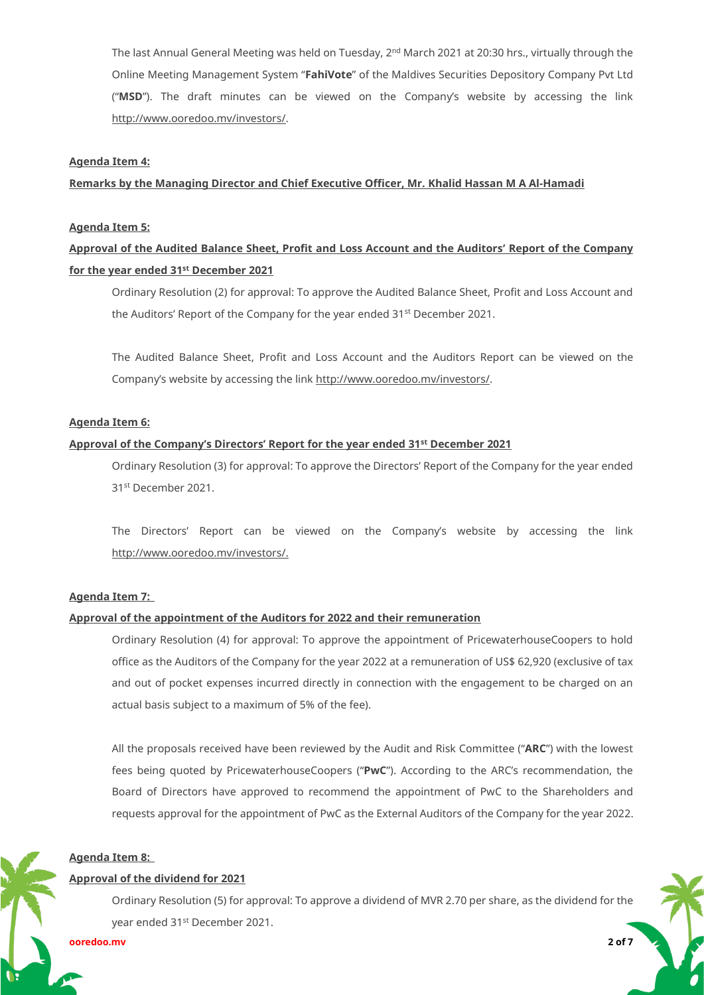The last Annual General Meeting was held on Tuesday, 2<sup>nd</sup> March 2021 at 20:30 hrs., virtually through the Online Meeting Management System "**FahiVote**" of the Maldives Securities Depository Company Pvt Ltd ("**MSD**"). The draft minutes can be viewed on the Company's website by accessing the link [http://www.ooredoo.mv/investors/.](http://www.ooredoo.mv/investors/)

#### **Agenda Item 4:**

#### **Remarks by the Managing Director and Chief Executive Officer, Mr. Khalid Hassan M A Al-Hamadi**

#### **Agenda Item 5:**

## **Approval of the Audited Balance Sheet, Profit and Loss Account and the Auditors' Report of the Company for the year ended 31st December 2021**

Ordinary Resolution (2) for approval: To approve the Audited Balance Sheet, Profit and Loss Account and the Auditors' Report of the Company for the year ended 31<sup>st</sup> December 2021.

The Audited Balance Sheet, Profit and Loss Account and the Auditors Report can be viewed on the Company's website by accessing the link [http://www.ooredoo.mv/investors/.](http://www.ooredoo.mv/investors/) 

## **Agenda Item 6:**

## **Approval of the Company's Directors' Report for the year ended 31st December 2021**

Ordinary Resolution (3) for approval: To approve the Directors' Report of the Company for the year ended 31st December 2021.

The Directors' Report can be viewed on the Company's website by accessing the link [http://www.ooredoo.mv/investors/.](http://www.ooredoo.mv/investors/)

#### **Agenda Item 7:**

#### **Approval of the appointment of the Auditors for 2022 and their remuneration**

Ordinary Resolution (4) for approval: To approve the appointment of PricewaterhouseCoopers to hold office as the Auditors of the Company for the year 2022 at a remuneration of US\$ 62,920 (exclusive of tax and out of pocket expenses incurred directly in connection with the engagement to be charged on an actual basis subject to a maximum of 5% of the fee).

All the proposals received have been reviewed by the Audit and Risk Committee ("**ARC**") with the lowest fees being quoted by PricewaterhouseCoopers ("**PwC**"). According to the ARC's recommendation, the Board of Directors have approved to recommend the appointment of PwC to the Shareholders and requests approval for the appointment of PwC as the External Auditors of the Company for the year 2022.

#### **Agenda Item 8:**

#### **Approval of the dividend for 2021**

Ordinary Resolution (5) for approval: To approve a dividend of MVR 2.70 per share, as the dividend for the year ended 31st December 2021.

**ooredoo.mv 2 of 7**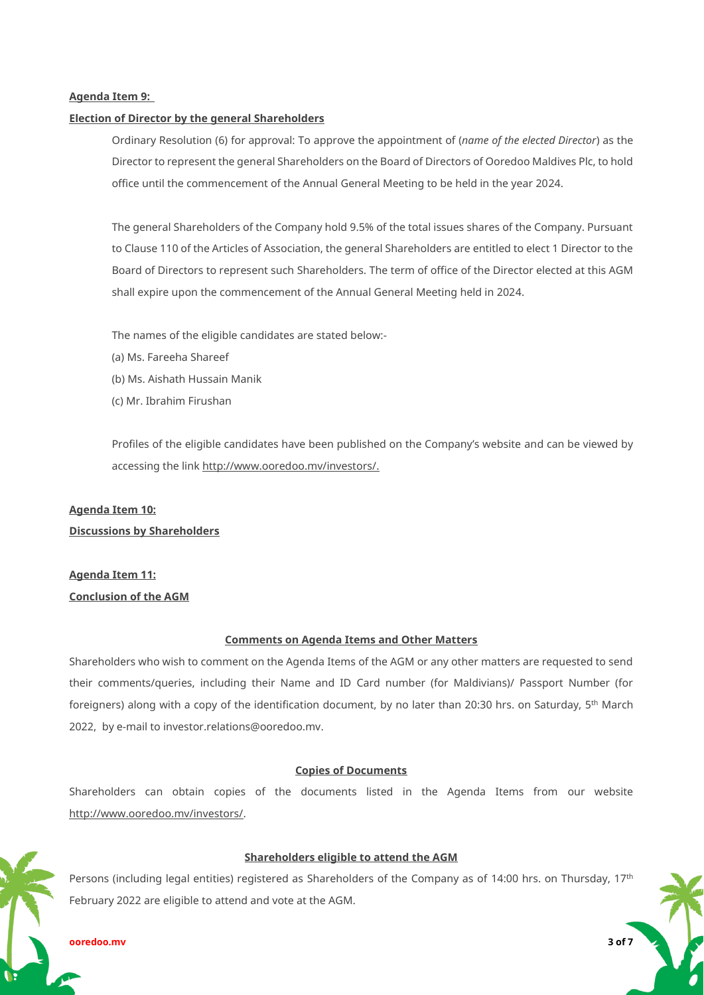## **Agenda Item 9:**

#### **Election of Director by the general Shareholders**

Ordinary Resolution (6) for approval: To approve the appointment of (*name of the elected Director*) as the Director to represent the general Shareholders on the Board of Directors of Ooredoo Maldives Plc, to hold office until the commencement of the Annual General Meeting to be held in the year 2024.

The general Shareholders of the Company hold 9.5% of the total issues shares of the Company. Pursuant to Clause 110 of the Articles of Association, the general Shareholders are entitled to elect 1 Director to the Board of Directors to represent such Shareholders. The term of office of the Director elected at this AGM shall expire upon the commencement of the Annual General Meeting held in 2024.

The names of the eligible candidates are stated below:-

- (a) Ms. Fareeha Shareef
- (b) Ms. Aishath Hussain Manik
- (c) Mr. Ibrahim Firushan

Profiles of the eligible candidates have been published on the Company's website and can be viewed by accessing the link [http://www.ooredoo.mv/investors/.](http://www.ooredoo.mv/investors/)

#### **Agenda Item 10:**

## **Discussions by Shareholders**

# **Agenda Item 11: Conclusion of the AGM**

#### **Comments on Agenda Items and Other Matters**

Shareholders who wish to comment on the Agenda Items of the AGM or any other matters are requested to send their comments/queries, including their Name and ID Card number (for Maldivians)/ Passport Number (for foreigners) along with a copy of the identification document, by no later than 20:30 hrs. on Saturday, 5<sup>th</sup> March 2022, by e-mail to [investor.relations@ooredoo.mv.](mailto:investor.relations@ooredoo.mv)

## **Copies of Documents**

Shareholders can obtain copies of the documents listed in the Agenda Items from our website [http://www.ooredoo.mv/investors/.](http://www.ooredoo.mv/investors/)

## **Shareholders eligible to attend the AGM**

Persons (including legal entities) registered as Shareholders of the Company as of 14:00 hrs. on Thursday, 17<sup>th</sup> February 2022 are eligible to attend and vote at the AGM.

#### **ooredoo.mv 3 of 7**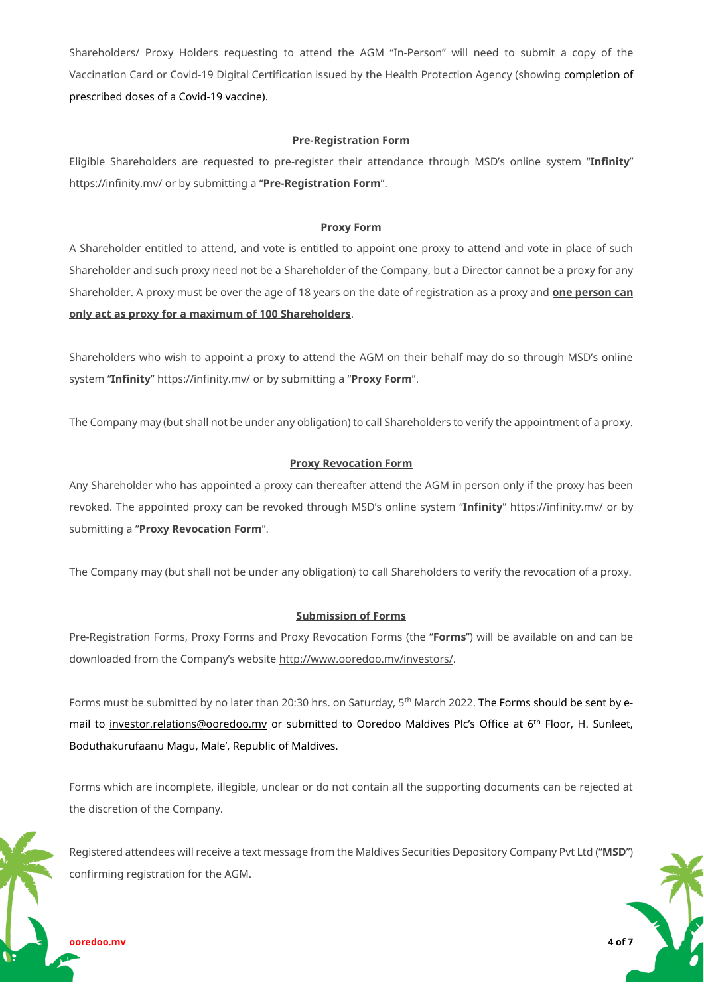Shareholders/ Proxy Holders requesting to attend the AGM "In-Person" will need to submit a copy of the Vaccination Card or Covid-19 Digital Certification issued by the Health Protection Agency (showing completion of prescribed doses of a Covid-19 vaccine).

#### **Pre-Registration Form**

Eligible Shareholders are requested to pre-register their attendance through MSD's online system "**Infinity**" <https://infinity.mv/> or by submitting a "**Pre-Registration Form**".

#### **Proxy Form**

A Shareholder entitled to attend, and vote is entitled to appoint one proxy to attend and vote in place of such Shareholder and such proxy need not be a Shareholder of the Company, but a Director cannot be a proxy for any Shareholder. A proxy must be over the age of 18 years on the date of registration as a proxy and **one person can only act as proxy for a maximum of 100 Shareholders**.

Shareholders who wish to appoint a proxy to attend the AGM on their behalf may do so through MSD's online system "**Infinity**" <https://infinity.mv/> or by submitting a "**Proxy Form**".

The Company may (but shall not be under any obligation) to call Shareholders to verify the appointment of a proxy.

#### **Proxy Revocation Form**

Any Shareholder who has appointed a proxy can thereafter attend the AGM in person only if the proxy has been revoked. The appointed proxy can be revoked through MSD's online system "**Infinity**" <https://infinity.mv/> or by submitting a "**Proxy Revocation Form**".

The Company may (but shall not be under any obligation) to call Shareholders to verify the revocation of a proxy.

#### **Submission of Forms**

Pre-Registration Forms, Proxy Forms and Proxy Revocation Forms (the "**Forms**") will be available on and can be downloaded from the Company's website [http://www.ooredoo.mv/investors/.](http://www.ooredoo.mv/investors/) 

Forms must be submitted by no later than 20:30 hrs. on Saturday, 5<sup>th</sup> March 2022. The Forms should be sent by email to [investor.relations@ooredoo.mv](mailto:investor.relations@ooredoo.mv) or submitted to Ooredoo Maldives Plc's Office at 6<sup>th</sup> Floor, H. Sunleet, Boduthakurufaanu Magu, Male', Republic of Maldives.

Forms which are incomplete, illegible, unclear or do not contain all the supporting documents can be rejected at the discretion of the Company.

Registered attendees will receive a text message from the Maldives Securities Depository Company Pvt Ltd ("**MSD**") confirming registration for the AGM.

**ooredoo.mv 4 of 7**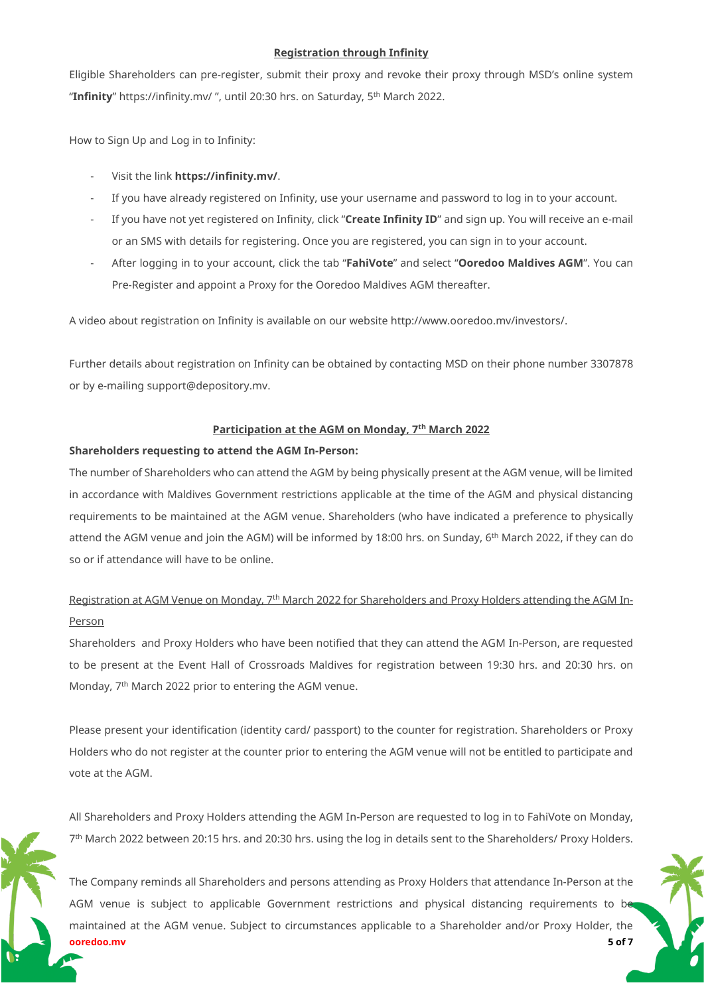#### **Registration through Infinity**

Eligible Shareholders can pre-register, submit their proxy and revoke their proxy through MSD's online system "**Infinity**" <https://infinity.mv/> ", until 20:30 hrs. on Saturday, 5th March 2022.

How to Sign Up and Log in to Infinity:

- Visit the link **<https://infinity.mv/>**.
- If you have already registered on Infinity, use your username and password to log in to your account.
- If you have not yet registered on Infinity, click "**Create Infinity ID**" and sign up. You will receive an e-mail or an SMS with details for registering. Once you are registered, you can sign in to your account.
- After logging in to your account, click the tab "**FahiVote**" and select "**Ooredoo Maldives AGM**". You can Pre-Register and appoint a Proxy for the Ooredoo Maldives AGM thereafter.

A video about registration on Infinity is available on our websit[e http://www.ooredoo.mv/investors/.](http://www.ooredoo.mv/investors/)

Further details about registration on Infinity can be obtained by contacting MSD on their phone number 3307878 or by e-mailing [support@depository.mv.](mailto:support@depository.mv) 

#### **Participation at the AGM on Monday, 7th March 2022**

#### **Shareholders requesting to attend the AGM In-Person:**

The number of Shareholders who can attend the AGM by being physically present at the AGM venue, will be limited in accordance with Maldives Government restrictions applicable at the time of the AGM and physical distancing requirements to be maintained at the AGM venue. Shareholders (who have indicated a preference to physically attend the AGM venue and join the AGM) will be informed by 18:00 hrs. on Sunday, 6th March 2022, if they can do so or if attendance will have to be online.

# Registration at AGM Venue on Monday, 7th March 2022 for Shareholders and Proxy Holders attending the AGM In-Person

Shareholders and Proxy Holders who have been notified that they can attend the AGM In-Person, are requested to be present at the Event Hall of Crossroads Maldives for registration between 19:30 hrs. and 20:30 hrs. on Monday, 7<sup>th</sup> March 2022 prior to entering the AGM venue.

Please present your identification (identity card/ passport) to the counter for registration. Shareholders or Proxy Holders who do not register at the counter prior to entering the AGM venue will not be entitled to participate and vote at the AGM.

All Shareholders and Proxy Holders attending the AGM In-Person are requested to log in to FahiVote on Monday, 7 th March 2022 between 20:15 hrs. and 20:30 hrs. using the log in details sent to the Shareholders/ Proxy Holders.

**ooredoo.mv 5 of 7** The Company reminds all Shareholders and persons attending as Proxy Holders that attendance In-Person at the AGM venue is subject to applicable Government restrictions and physical distancing requirements to be maintained at the AGM venue. Subject to circumstances applicable to a Shareholder and/or Proxy Holder, the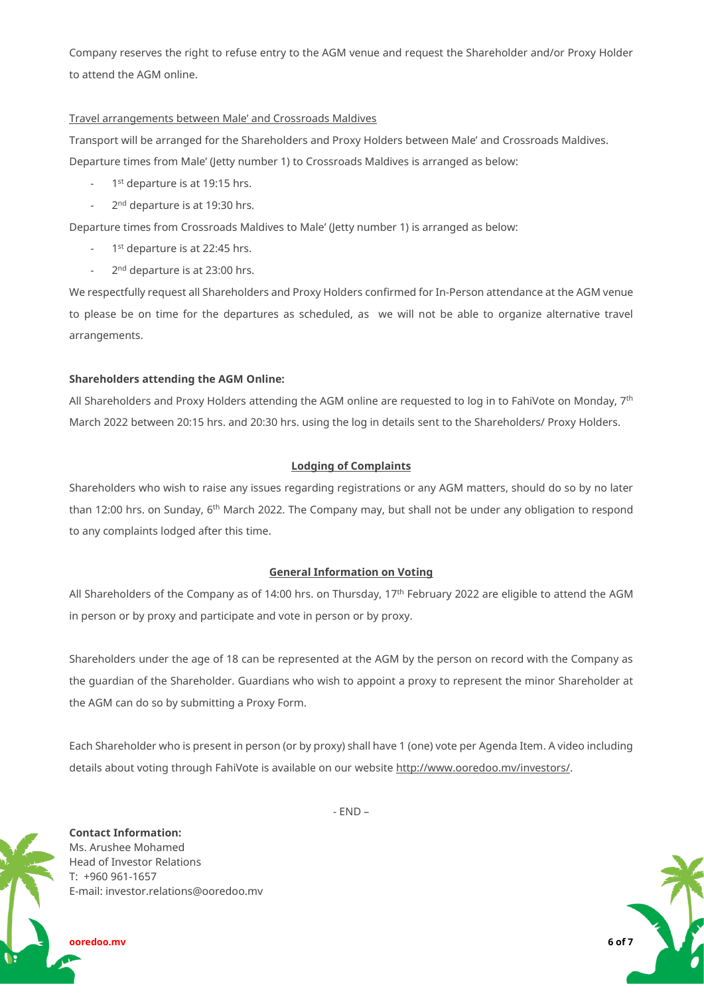Company reserves the right to refuse entry to the AGM venue and request the Shareholder and/or Proxy Holder to attend the AGM online.

## Travel arrangements between Male' and Crossroads Maldives

Transport will be arranged for the Shareholders and Proxy Holders between Male' and Crossroads Maldives.

Departure times from Male' (Jetty number 1) to Crossroads Maldives is arranged as below:

- 1<sup>st</sup> departure is at 19:15 hrs.
- 2<sup>nd</sup> departure is at 19:30 hrs.

Departure times from Crossroads Maldives to Male' (Jetty number 1) is arranged as below:

- 1<sup>st</sup> departure is at 22:45 hrs.
- 2<sup>nd</sup> departure is at 23:00 hrs.

We respectfully request all Shareholders and Proxy Holders confirmed for In-Person attendance at the AGM venue to please be on time for the departures as scheduled, as we will not be able to organize alternative travel arrangements.

## **Shareholders attending the AGM Online:**

All Shareholders and Proxy Holders attending the AGM online are requested to log in to FahiVote on Monday, 7<sup>th</sup> March 2022 between 20:15 hrs. and 20:30 hrs. using the log in details sent to the Shareholders/ Proxy Holders.

## **Lodging of Complaints**

Shareholders who wish to raise any issues regarding registrations or any AGM matters, should do so by no later than 12:00 hrs. on Sunday, 6<sup>th</sup> March 2022. The Company may, but shall not be under any obligation to respond to any complaints lodged after this time.

## **General Information on Voting**

All Shareholders of the Company as of 14:00 hrs. on Thursday, 17 th February 2022 are eligible to attend the AGM in person or by proxy and participate and vote in person or by proxy.

Shareholders under the age of 18 can be represented at the AGM by the person on record with the Company as the guardian of the Shareholder. Guardians who wish to appoint a proxy to represent the minor Shareholder at the AGM can do so by submitting a Proxy Form.

Each Shareholder who is present in person (or by proxy) shall have 1 (one) vote per Agenda Item. A video including details about voting through FahiVote is available on our website [http://www.ooredoo.mv/investors/.](http://www.ooredoo.mv/investors/)

 $- FND -$ 

**Contact Information:** Ms. Arushee Mohamed Head of Investor Relations T: +960 961-1657 E-mail: investor.relations@ooredoo.mv

**ooredoo.mv 6 of 7**